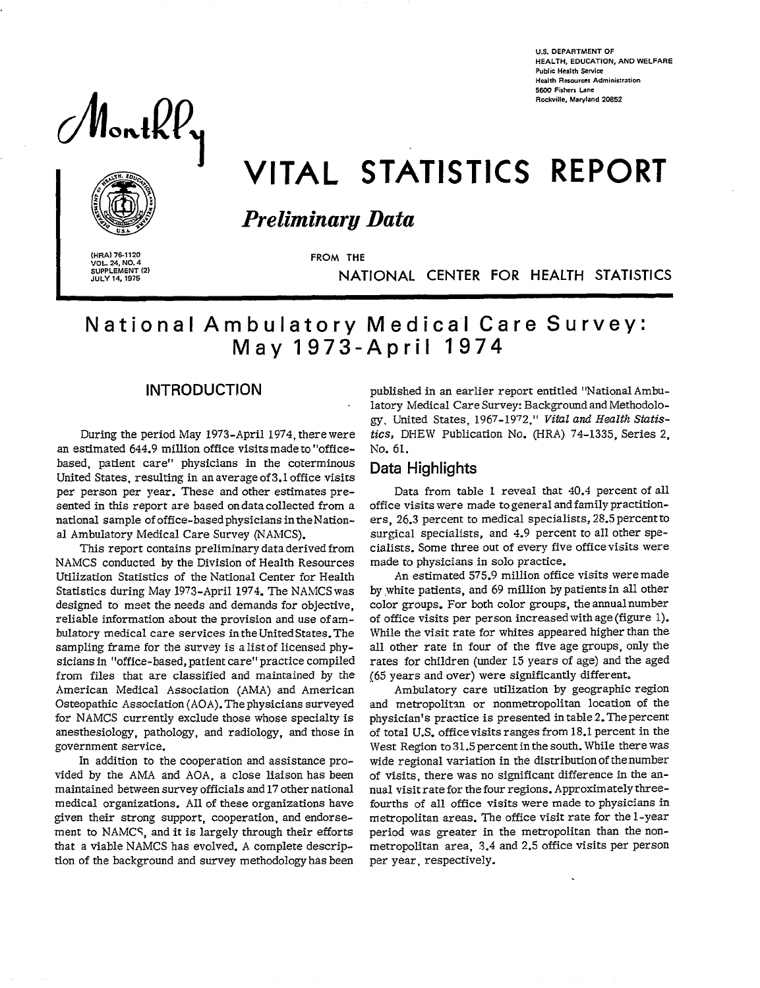**U.S. DEPARTMENT OF HEALTH, EDUCATION, AND WELFARE Public Health Service Health ResourcesAdministration 5600 Fishers Lane Rockville, Maryland 20S52** 

/Montk $\ell_\gamma$ 

# VITAL STATISTICS REPORT<br>Preliminary Data

*Preliminary Data* 

**IHRAI 76-1120**<br> **I POL 24, NO. 4**<br> **ISBN 50-PLEMENT** (2)<br> **I POLY 14, 1975**<br> **I POLY 14, 1975 SUPPLEMENT (2)**<br> **SUPPLEMENT (2)**<br> **A I A A** 

**JULY 14,1975 NATIONAL CENTER** FOR HEALTH STATISTICS

# **Nation al Am bulatory Medic al Care Survey: May 1973-April 1974**

### **INTRODUCTION**

During the period May 1973-April 1974, there were an estimated 644.9 million office visits made to' 'officebased, patient care" physicians in the coterminous � United States, resulting in an average of 3.1 office visits per person per year. These and other estimates presented in this report are based on data collected from a national sample of office-based physicians in the National Ambulatory Medical Care Survey (NAMCS).

> This report contains preliminary data derived from NAMCS conducted by the Division of Health Resources Utilization Statistics of the National Center for Health Statistics during May 1973-April 1974. The NAMCS was designed to meet the needs and demands for objective, reliable information about the provision and use of ambulatory medical care services in the United States. The sampling frame for the survey is a list of licensed physicians in "office-based, patient care" practice compiled from files that are classified and maintained by the American Medical Association (AMA) and American Osteopathic Association (AOA). The physicians surveyed for NAMCS currently exclude those whose specialty is anesthesiology, pathology, and radiology, and those in government service.

> In addition to the cooperation and assistance provided by the AMA and AOA, a close liaison has been maintained between survey officials and 17 other national medical organizations. All of these organizations have given their strong support, cooperation, and endorsement to NAMCS, and it is largely through their efforts that a viable NAMCS has evolved. A complete description of the background and survey methodology has been

published in an earlier report entitled "National Ambulatory Medical Care Survey: Background and Methodology, United States, 1967-1972," *Vifal and Health Statistics,* DHEW Publication No. (HRA) 74-1335, Series 2, **No.** 61.

#### **Data Highlights**

Data from table 1 reveal that 40.4 percent of all office visits were made to general and family practitioners, 26.3 percent to medical specialists, 28.5 percent to surgical specialists, and 4.9 percent to aIl other specialists. Some three out of every five office visits were made to physicians in solo practice.

An estimated 575.9 million office visits were made by ,white patients, and 69 million by patients in all other color groups. For both color groups, the annual number of office visits per person increased with age (figure 1). While the visit rate for whites appeared higher than the all other rate in four of the five age groups, only the rates for children (under 15 years of age) and the aged (65 years and over) were significantly different.

Ambulatory care utilization by geographic region and metropolitan or nonmetropolitan location of the physician's practice is presented in table 2. The percent of total U.S. office visits ranges from 18.1 percent in the West Region to 31.5 percent in the south. While there was wide regional variation in the distribution of the number of visits, there was no significant difference in the annual visit rate for the four regions. Approximately threefourths of all office visits were made to physicians in metropolitan areas. The office visit rate for the 1-year period was greater in the metropolitan than the nonmetropolitan area, 3.4 and 2.5 office visits per person per year, respectively.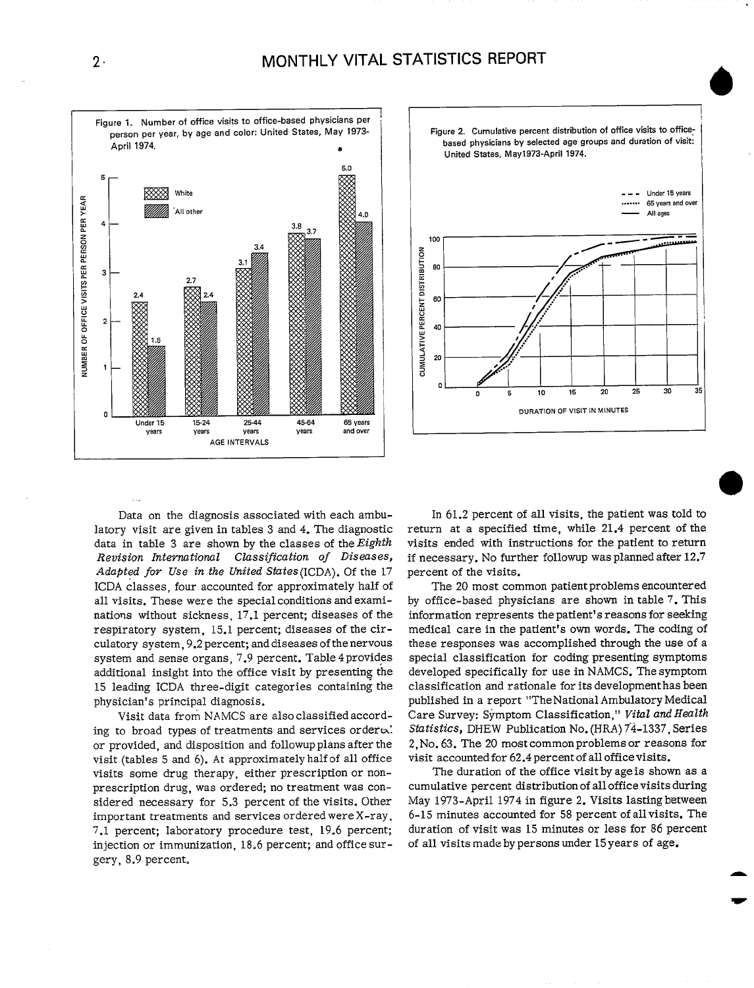



Data on the diagnosis associated with each ambulatory visit are given in tables 3 and 4. The diagnostic data in table 3 are shown by the classes of the Eighth Revision International Classification of Diseases, Adapted for Use in the United States (ICDA). Of the 17 ICDA classes, four accounted for approximately half of all visits. These were the special conditions and examinations without sickness, 17.1 percent; diseases of the respiratory system, 15.1 percent; diseases of the circulatory system, 9.2 percent; and diseases of the nervous system and sense organs, 7.9 percent. Table 4 provides additional insight into the office visit by presenting the 15 leading ICDA three-digit categories containing the physician's principal diagnosis.

Visit data from NAMCS are also classified according to broad types of treatments and services ordered. or provided, and disposition and followup plans after the visit (tables 5 and 6). At approximately half of all office visits some drug therapy, either prescription or nonprescription drug, was ordered; no treatment was considered necessary for 5.3 percent of the visits. Other important treatments and services ordered were X-ray, 7.1 percent; laboratory procedure test, 19.6 percent; injection or immunization, 18.6 percent; and office surgery, 8.9 percent.

In 61.2 percent of all visits, the patient was told to return at a specified time, while 21.4 percent of the visits ended with instructions for the patient to return if necessary. No further followup was planned after 12.7 percent of the visits.

The 20 most common patient problems encountered by office-based physicians are shown in table 7. This information represents the patient's reasons for seeking medical care in the patient's own words. The coding of these responses was accomplished through the use of a special classification for coding presenting symptoms developed specifically for use in NAMCS. The symptom classification and rationale for its development has been published in a report "The National Ambulatory Medical Care Survey: Symptom Classification," Vital and Health Statistics, DHEW Publication No. (HRA) 74-1337, Series 2. No. 63. The 20 most common problems or reasons for visit accounted for 62.4 percent of all office visits.

The duration of the office visit by age is shown as a cumulative percent distribution of all office visits during May 1973-April 1974 in figure 2. Visits lasting between 6-15 minutes accounted for 58 percent of all visits. The duration of visit was 15 minutes or less for 86 percent of all visits made by persons under 15 years of age.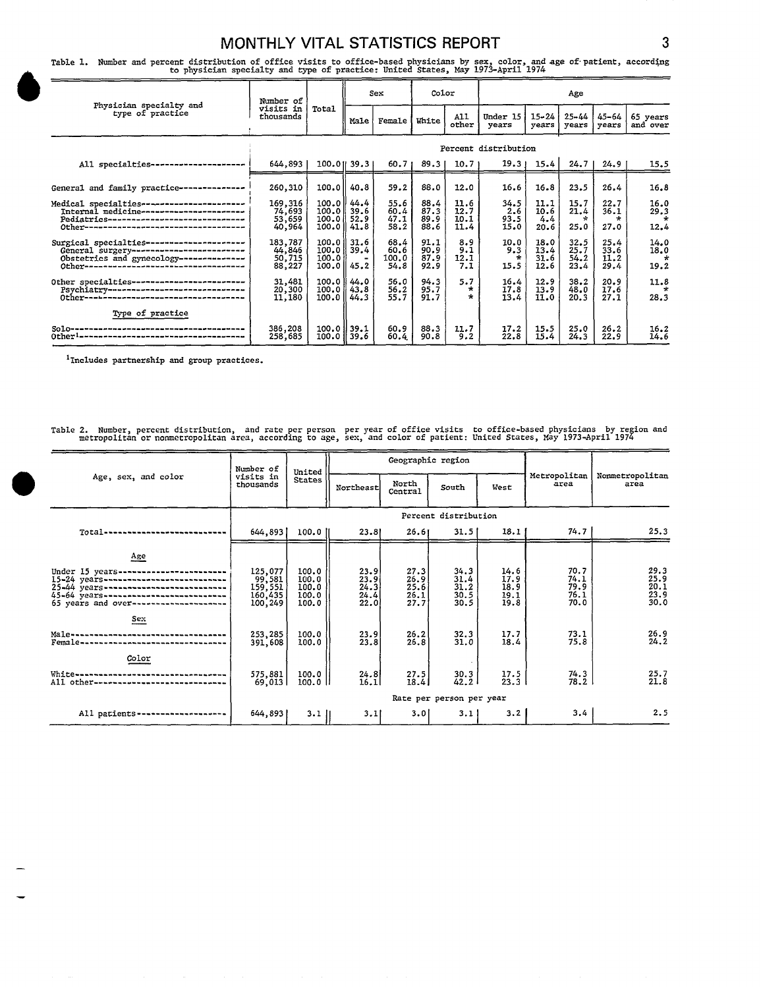Table 1. Number and percent distribution of office visits to office-based physicians by sex, color, and age of patient, according<br>to physician specialty and type of practice: United States, May 1973-April 1974

|                                                                                                                                                                                 | Number of                               |                                                           |              | Sex                              | Color                        |                              |                                 |                              | Age                                  |                                 |                                 |
|---------------------------------------------------------------------------------------------------------------------------------------------------------------------------------|-----------------------------------------|-----------------------------------------------------------|--------------|----------------------------------|------------------------------|------------------------------|---------------------------------|------------------------------|--------------------------------------|---------------------------------|---------------------------------|
| Physician specialty and<br>type of practice                                                                                                                                     | visits in<br>thousands                  | <b>Total</b>                                              | Male!        | Female                           | White                        | A11<br>other                 | Under 15<br>vears               | $15 - 24$<br>years           | $25 - 44$<br>years                   | 45-64<br>years                  | 65 years<br>and over            |
|                                                                                                                                                                                 |                                         |                                                           |              |                                  |                              |                              | Percent distribution            |                              |                                      |                                 |                                 |
| All specialties---------------                                                                                                                                                  | 644,893                                 | 100.011 39.31                                             |              | 60.71                            | $89.3$                       | 10.71                        | 19.31                           | 15.4                         | 24.7                                 | 24.9                            | 15.5                            |
| General and family practice--------------                                                                                                                                       | 260,310                                 | 100.0                                                     | 40.8         | 59.2                             | 88.0                         | 12.0                         | 16.6                            | 16.8                         | 23.5                                 | 26.4                            | 16.8                            |
| Medical specialties -----------------------<br>Internal medicine-----------------------<br>Pediatrics------------------------------<br>Other----------------------------------- | 169,316<br>$74,693$<br>53,659<br>40,964 | 100.0 44.4<br>$100.0$ 39.6<br>100.0 52.9<br>100.0    41.8 |              | 55.6<br>$60.4$<br>$47.1$<br>58.2 | 88.4<br>87.3<br>89.9<br>88.6 | 11.6<br>12.7<br>10.1<br>11.4 | 34.5<br>2.6<br>$93.5$<br>$15.0$ | 11.1<br>10.6<br>4.4<br>20.6  | 15.7<br>21.4<br>$\mathbf{r}$<br>25.0 | 22.7<br>36.1<br>$\star$<br>27.0 | 16.0<br>29.3<br>$\star$<br>12.4 |
| Surgical specialties---------------------<br>General surgery-------------------------<br>Obstetrics and gynecology--------------                                                | 183,787<br>44,846<br>50,715<br>88,227   | 100.0 31.6<br>100.0<br>$100.0$    45.2                    | $100.0$ 39.4 | 68.4<br>60.6<br>100.0<br>54.8    | 91.1<br>90.9<br>87.9<br>92.9 | 8.9<br>9.1<br>12.1<br>7.1    | 10.0<br>9.3<br>÷<br>15.5        | 18.0<br>13.4<br>31.6<br>12.6 | 32.5<br>25.7<br>54.2<br>23.4         | 25.4<br>33.6<br>11.2<br>29.4    | 14.0<br>18.0<br>$\star$<br>19.2 |
| Other specialties-------------------------<br>Psychiatry----------------------------<br>0ther-----------------------------------                                                | 31,481<br>20,300<br>11,180              | $100.0$ $ $ $44.0$<br>$100.0$   43.8<br>$100.0$   44.3    |              | 56.0<br>56.2<br>55.7             | 94.3<br>95.7<br>91.7         | 5.7<br>$\star$<br>÷          | 16.4<br>17.8<br>13.4            | 12.9<br>13.9<br>11.0         | 38.2<br>48.0<br>20.3                 | 20.9<br>17.6<br>27.1            | 11.8<br>$\star$<br>28.3         |
| Type of practice                                                                                                                                                                |                                         |                                                           |              |                                  |                              |                              |                                 |                              |                                      |                                 |                                 |
| Solo---------------------------------<br>0ther1-----------------------------                                                                                                    | 386,208<br>258,685                      | 100.0 39.1<br>100.0 39.6                                  |              | 60.9<br>60.4.                    | 88.3<br>90.8                 | 11.7<br>9.2                  | 17.2<br>22.8                    | 15.5<br>15.4                 | 25.0<br>24.3                         | 26.2<br>22.9                    | 16.2<br>14.6                    |

1Includes partnership and group practices.

—

Table 2. Number, percent distribution, and rate per person per year of office visits to office-based physicians by region and<br>metropolitan or nonmetropolitan area, according to age, sex, and color of patient: United States

|                                                                                                                                                                                                             | Number of                                          | United                                    |                                             |                                              | Geographic region                    |                                                    |                                            |                                                |
|-------------------------------------------------------------------------------------------------------------------------------------------------------------------------------------------------------------|----------------------------------------------------|-------------------------------------------|---------------------------------------------|----------------------------------------------|--------------------------------------|----------------------------------------------------|--------------------------------------------|------------------------------------------------|
| Age, sex, and color                                                                                                                                                                                         | visits in<br>thousands                             | States                                    | Northeast                                   | North<br>Central                             | South                                | Vest                                               | Metropolitan<br>area                       | Nonmetropolitan<br>area                        |
|                                                                                                                                                                                                             |                                                    |                                           |                                             |                                              | Percent distribution                 |                                                    |                                            |                                                |
| Total-----------------                                                                                                                                                                                      | 644,893                                            | 100.01                                    | 23.81                                       | 26.61                                        | 31.5                                 | 18.1                                               | 74.7                                       | 25.3                                           |
| Age                                                                                                                                                                                                         |                                                    |                                           |                                             |                                              |                                      |                                                    |                                            |                                                |
| Under 15 years------------------------<br>15-24 years-----------------------------<br>25-44 years---------------------------<br>45-64 years --------------------------<br>65 years and over---------------- | 125,077<br>99,581<br>159,551<br>160,435<br>100,249 | 100.0<br>100.0<br>100.0<br>100.0<br>100.0 | 23.9<br>23.9<br>24.3<br>$\frac{24.4}{22.0}$ | 27.3<br>26.9<br>25.6<br>26.1<br>27.7         | 34.3<br>31.4<br>31.2<br>30.5<br>30.5 | 14.6<br>$\frac{17.9}{18.9}$<br>$\frac{19.1}{19.8}$ | 70.7<br>74.1<br>$79.9$<br>$76.1$<br>$70.0$ | $29.3$<br>$25.9$<br>$20.1$<br>$23.9$<br>$30.0$ |
| Sex                                                                                                                                                                                                         |                                                    |                                           |                                             |                                              |                                      |                                                    |                                            |                                                |
| Male+------------------------------<br>Female-----------------                                                                                                                                              | 253,285<br>391,608                                 | 100.0<br>100.0                            | 23.9<br>23.8                                | 26.2<br>26.8                                 | 32.3<br>31.0                         | 17.7<br>18.4                                       | 73.1<br>75.8                               | $26.9$<br>$24.2$                               |
| Color                                                                                                                                                                                                       |                                                    |                                           |                                             |                                              |                                      |                                                    |                                            |                                                |
| White------------------------------<br>All other-------------------------                                                                                                                                   | 575,881<br>69,013                                  | 100.0<br>100.0 ll                         | $\frac{24.8}{16.1}$                         | $\begin{bmatrix} 27.5 \\ 18.4 \end{bmatrix}$ | 30.3<br>42.2                         | $\frac{17.5}{23.3}$                                | $74.3$<br>$78.2$                           | $25.7$<br>21.8                                 |
|                                                                                                                                                                                                             | Rate per person per year                           |                                           |                                             |                                              |                                      |                                                    |                                            |                                                |
| All patients-                                                                                                                                                                                               | 644,893                                            | 3.1                                       | 3.1                                         | 3.OI                                         | 3.1                                  | 3.2                                                | 3.4                                        | 2.5                                            |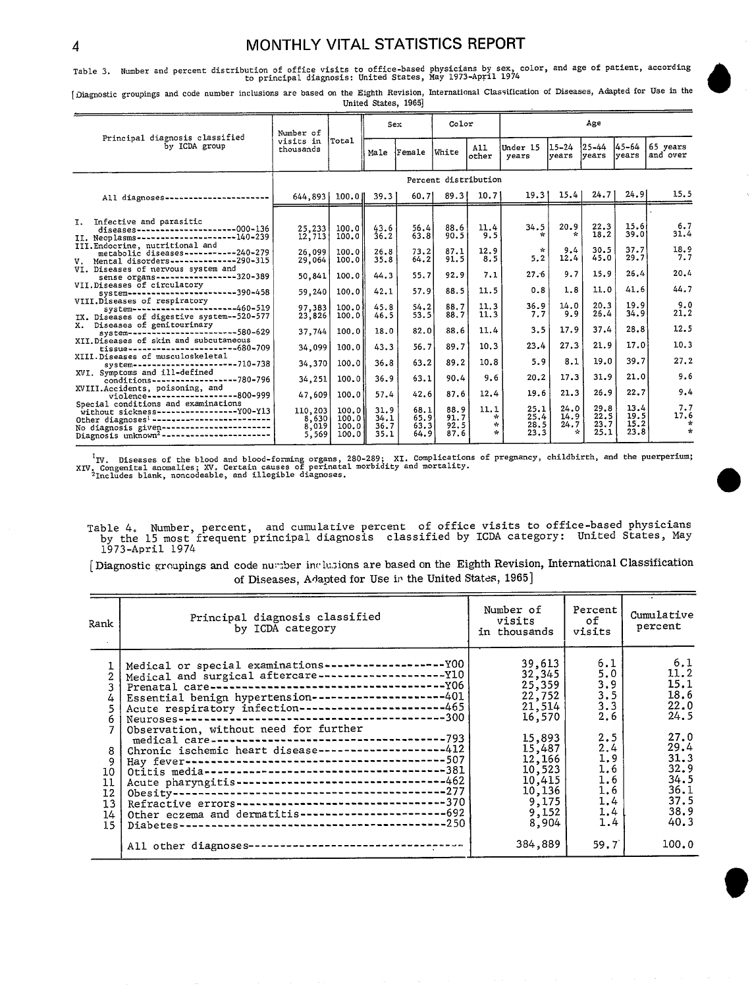Table 3. Number and percent distribution of office visits to office-based physicians by sex, color, and age of patient, according<br>to principal diagnosis: United States, May 1973-April 1974

[Diagnostic groupings and code number inclusions are based on the Eighth Revision, International Classification of Diseases, Adapted for Use in the United States, 1965]

|                                                                                                                                                                                                                                                     | Number of                          |                                     |                              | Sex                          | Color                        |                                             |                              |                           | Age                          |                              |                                         |
|-----------------------------------------------------------------------------------------------------------------------------------------------------------------------------------------------------------------------------------------------------|------------------------------------|-------------------------------------|------------------------------|------------------------------|------------------------------|---------------------------------------------|------------------------------|---------------------------|------------------------------|------------------------------|-----------------------------------------|
| Principal diagnosis classified<br>by ICDA group                                                                                                                                                                                                     | visits in<br>thousands             | Total                               | Male                         | Female                       | <b>White</b>                 | All<br>other                                | Under 15<br>years            | $15 - 24$<br>vears        | 25-44<br>lvears              | 45–64<br>lvears              | 65 years<br>and over                    |
|                                                                                                                                                                                                                                                     |                                    |                                     |                              |                              | Percent distribution         |                                             |                              |                           |                              |                              |                                         |
| All diagnoses------------------                                                                                                                                                                                                                     | $644,893$   100.0                  |                                     | 39.3                         | 60,7                         | 89.3                         | 10.71                                       | 19.31                        | 15.4                      | 24.71                        | 24.9                         | 15.5                                    |
| I. Infective and parasitic                                                                                                                                                                                                                          | 25,233                             | 100.0                               | 43.6                         | 56.4                         | 88.6                         | 11.4                                        | 34.5                         | 20.9                      | 22.3                         | 15.6                         | 6.7                                     |
| diseases-------------------------000-136<br>II. Neoplasms----------------------140-239                                                                                                                                                              | 12.713                             | 100.0                               | 36.2                         | 63.8                         | 90.5                         | 9.5                                         | $\star$                      | $\mathcal{L}$             | 18.2                         | 39.0                         | 31.4                                    |
| III. Endocrine, nutritional and<br>metabolic diseases -----------240-279<br>V. Mental disorders--------------290-315                                                                                                                                | 26,099<br>29,064                   | 100.01<br>100.01                    | 26.8<br>35.8                 | 73.2<br>64.2                 | 87.1<br>91.5                 | 12.9<br>8.5                                 | $\mathcal{H}$<br>5.2         | 9.4<br>12.4               | 30.5<br>45.0                 | 37.7<br>29.7                 | 18.9<br>7.7                             |
| VI. Diseases of nervous system and<br>sense organs------------------320-389                                                                                                                                                                         | 50,841                             | 100.01                              | 44.3                         | 55.7                         | 92.9                         | 7.1                                         | 27.6                         | 9.7                       | 15.9                         | 26.4                         | 20.4                                    |
| VII.Diseases of circulatory<br>system-----------------------390-458                                                                                                                                                                                 | 59,240                             | 100.0                               | 42.1                         | 57.9                         | 88.5                         | 11.5                                        | 0.8                          | 1.8                       | 11.0                         | 41.6                         | 44.7                                    |
| VIII.Diseases of respiratory<br>system-----------------------460-519<br>IX. Diseases of digestive system--520-577                                                                                                                                   | 97.383<br>23,826                   | 100.0H<br>100.0                     | 45.8<br>46.5                 | 54.2<br>53.5                 | 88.7<br>88.7                 | 11.3<br>11.3                                | 36.9<br>7.7                  | 14.0<br>9.9               | 20.3<br>26.4                 | 19.9<br>34.9                 | 9.0<br>21.2                             |
| Diseases of genitourinary<br>$x_{-}$<br>system-------------------------580-629                                                                                                                                                                      | 37,744                             | 100.0                               | 18.0                         | 82.0                         | 88.6                         | 11.4                                        | 3.5                          | 17.9                      | 37.4                         | 28.8                         | 12.5                                    |
| XII.Diseases of skin and subcutaneous<br>$-680 - 709$<br>tissue-----------------------                                                                                                                                                              | 34.099                             | 100.0                               | 43.3                         | 56.7                         | 89.7                         | 10.3                                        | 23.4                         | 27.3                      | 21.9                         | 17.0                         | 10.3                                    |
| XIII. Diseases of musculoskeletal<br>--------------------10-738<br>system--                                                                                                                                                                         | 34.370                             | 100.0                               | 36.8                         | 63.2                         | 89.2                         | 10.8                                        | 5.9                          | 8.1                       | 19.0                         | 39.7                         | 27.2                                    |
| XVI. Symptoms and ill-defined<br>$-780 - 796$<br>conditions-----------------                                                                                                                                                                        | 34.251                             | 100.0                               | 36.9                         | 63.1                         | 90.4                         | 9.6                                         | 20.2                         | 17.3                      | 31.9                         | 21.0                         | 9.6                                     |
| XVIII.Accidents, poisoning, and<br>violence-------------------800-999                                                                                                                                                                               | 47,609                             | 100.0                               | 57.4                         | 42.6                         | 87.6                         | 12.4                                        | 19.6                         | 21.3                      | 26.9                         | 22.7                         | 9.4                                     |
| Special conditions and examinations<br>without sickness------------------Y00-Y13<br>Other diagnoses <sup>1</sup> --------------------------<br>No diagnosis given------------------------<br>Diagnosis unknown <sup>2</sup> ----------------------- | 110,203<br>8,630<br>8,019<br>5,569 | 100.0H<br>100.01<br>100.0<br>100.01 | 31.9<br>34.1<br>36.7<br>35.1 | 68.1<br>65.9<br>63.3<br>64.9 | 88.9<br>91.7<br>92.5<br>87.6 | 11.1<br>÷<br>$\mathcal{R}$<br>$\mathcal{P}$ | 25.1<br>25.4<br>28.5<br>23.3 | 24.0<br>14.9<br>24.7<br>÷ | 29.8<br>22.5<br>23.7<br>25.1 | 13.4<br>19.5<br>15.2<br>23.8 | 7.7<br>17.6<br>$\star$<br>$\frac{1}{N}$ |

<sup>1</sup>IV. Diseases of the blood and blood-forming organs, 280-289; XI. Complications of pregnancy, childbirth, and the puerperium;<br>XIV. Congenital anomalies; XV. Certain causes of perinatal morbidity and mortality.<br><sup>2</sup>Includ

[Diagnostic groupings and code number inclusions are based on the Eighth Revision, International Classification of Diseases, Adapted for Use in the United States, 1965]

|                                                                                                                                                                                                                                                                                                                                                                                                                                           | 39,613                                                                                                                                            |                                                                                                                                             |                                                                                                                              |
|-------------------------------------------------------------------------------------------------------------------------------------------------------------------------------------------------------------------------------------------------------------------------------------------------------------------------------------------------------------------------------------------------------------------------------------------|---------------------------------------------------------------------------------------------------------------------------------------------------|---------------------------------------------------------------------------------------------------------------------------------------------|------------------------------------------------------------------------------------------------------------------------------|
| Medical or special examinations------------------Y00<br>Medical and surgical aftercare---------------------Y10<br>Essential benign hypertension---------------------401<br>Observation, without need for further<br>Chronic ischemic heart disease--------------------412<br>8<br>9<br>10<br>11<br>12<br>13<br>Other eczema and dermatitis-----------------------692<br>14<br>15<br>All other diagnoses---------------------------------- | 32,345<br>25,359<br>22,752<br>21.514<br>16,570<br>15,893<br>15,487<br>12,166<br>10,523<br>10,415<br>10, 136<br>9,175<br>9,152<br>8,904<br>384,889 | 6.1<br>5.0<br>3.9<br>3.5<br>3.3<br>2.6<br>2.5<br>2.4<br>1.9<br>1.6<br>1.6 <sub>1</sub><br>1.6<br>1.4<br>1.4 <sub>1</sub><br>$1.4$  <br>59.7 | 6.1<br>11.2<br>15.1<br>18.6<br>22.0<br>24.5<br>27.0<br>29.4<br>31.3<br>32.9<br>34.5<br>36.1<br>37.5<br>38.9<br>40.3<br>100.0 |

Table 4. Number, percent, and cumulative percent of office visits to office-based physicians<br>by the 15 most frequent principal diagnosis classified by ICDA category: United States, May<br>1973-April 1974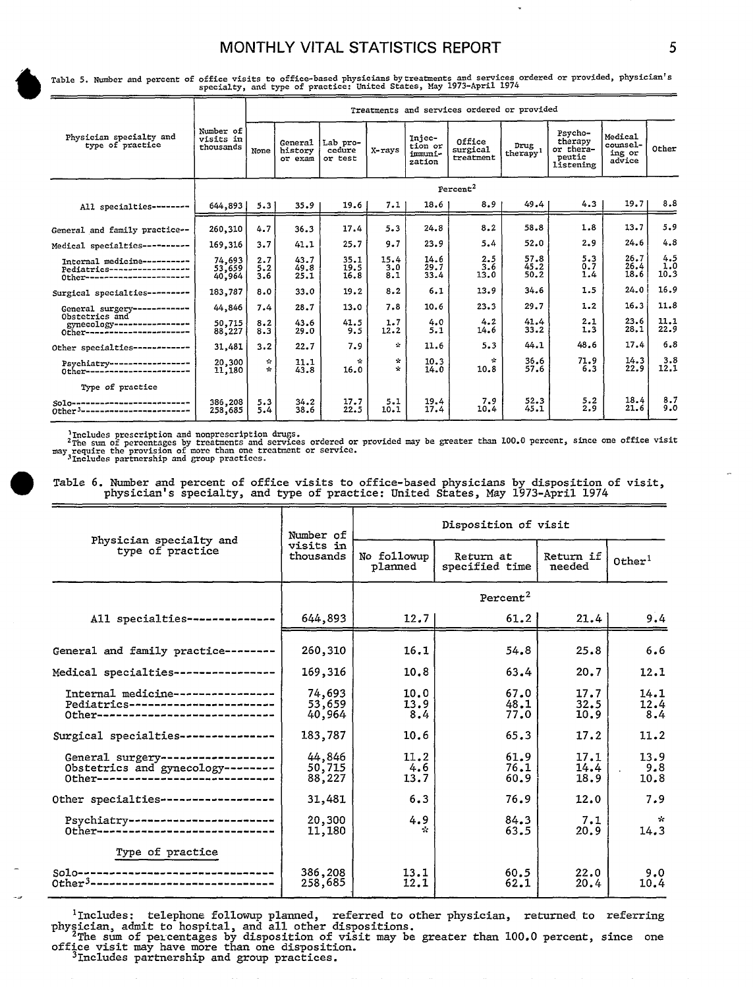Table 5. Number and percent of office visits to office-based physicians by treatments and services ordered or provided, physician's specialty, and type of practice: United States, May 1973-April 1974

|                                                                                            |                                     |                      |                               |                               |                              |                                        | Treatments and services ordered or provided |                       |                                                        |                                         |                    |
|--------------------------------------------------------------------------------------------|-------------------------------------|----------------------|-------------------------------|-------------------------------|------------------------------|----------------------------------------|---------------------------------------------|-----------------------|--------------------------------------------------------|-----------------------------------------|--------------------|
| Physician specialty and<br>type of practice                                                | Number of<br>visits in<br>thousands | None                 | General<br>history<br>or exam | Lab pro-<br>cedure<br>or test | X-rays                       | Iniec-<br>tion or<br>immuni-<br>zation | Office<br>surgical<br>treatment             | Drug<br>$\frac{1}{2}$ | Psycho-<br>therapy<br>or thera-<br>peutic<br>listening | Medical<br>counsel-<br>ing or<br>advice | Other              |
|                                                                                            |                                     | Percent <sup>2</sup> |                               |                               |                              |                                        |                                             |                       |                                                        |                                         |                    |
| All specialties--------                                                                    | 644,893                             | 5.3                  | 35.9                          | 19.6                          | 7.1                          | 18.6                                   | 8.9                                         | 49.4                  | 4.3                                                    | 19.7                                    | 8.8                |
| General and family practice --                                                             | 260,310                             | 4.7                  | 36.3                          | 17.4                          | 5.3                          | 24.8                                   | 8.2                                         | 58.8                  | 1.8                                                    | 13.7                                    | 5.9                |
| Medical specialties----------                                                              | 169,316                             | 3.7                  | 41.1                          | 25.7                          | 9.7                          | 23.9                                   | 5.4                                         | 52.0                  | 2.9                                                    | 24.6                                    | 4.8                |
| Internal medicine----------<br>Pediatrics------------------<br>0ther---------------------- | 74,693<br>53,659<br>40,964          | 2.7<br>5.2<br>3.6    | 43.7<br>49.8<br>25.1          | 35.1<br>19.5<br>16.8          | 15.4<br>3.0<br>8.1           | 14.6<br>29.7<br>33.4                   | 2.5<br>3.6<br>13.0                          | 57.8<br>45.2<br>50.2  | 5.3<br>0.7<br>1.4                                      | 26.7<br>26.4<br>18.6                    | 4.5<br>1.0<br>10.3 |
| Surgical specialties---------                                                              | 183,787                             | 8.0                  | 33.0                          | 19.2                          | 8.2                          | 6.1                                    | 13.9                                        | 34.6                  | 1.5                                                    | 24.0                                    | 16.9               |
| General surgery------------<br>Obstetrics and                                              | 44,846                              | 7.4                  | 28.7                          | 13.0                          | 7.8                          | 10.6                                   | 23.3                                        | 29.7                  | 1.2                                                    | 16.3                                    | 11.8               |
| gynecology-----------------<br>Other----------------------                                 | 50,715<br>88,227                    | 8.2<br>8.3           | 43.6<br>29.0                  | 41.5<br>9.5                   | 1.7<br>12.2                  | 4.0<br>5.1                             | 4.2<br>14.6                                 | 41.4<br>33.2          | 2.1<br>1.3                                             | 23.6<br>28.1                            | 11.1<br>22.9       |
| Other specialties-------------                                                             | 31,481                              | 3.2                  | 22.7                          | 7.9                           | $\sim$                       | 11.6                                   | 5.3                                         | 44.1                  | 48.6                                                   | 17.4                                    | 6,8                |
| Psychiatry-----------------<br>0ther----------------------                                 | 20,300<br>11,180                    | ÷<br>÷.              | 11.1<br>43.8                  | $\mathbf{x}$<br>16.0          | $\mathbf{r}_\mathrm{R}$<br>÷ | 10.3<br>14.0                           | ÷<br>10.8                                   | 36.6<br>57.6          | 71.9<br>6.3                                            | 14.3<br>22.9                            | 3.8<br>12.1        |
| Type of practice                                                                           |                                     |                      |                               |                               |                              |                                        |                                             |                       |                                                        |                                         |                    |
| Solo----------------------<br>0ther <sup>3</sup> ----------------------                    | 386,208<br>258,685                  | 5.3<br>5.4           | 34.2<br>38.6                  | 17.7<br>22.5                  | 5.1<br>10.1                  | 19.4<br>17.4                           | 7.9<br>10.4                                 | 52.3<br>45.1          | 5.2<br>2.9                                             | 18.4<br>21.6                            | 8.7<br>9.0         |

<sup>1</sup>Includes prescription and nonprescription drugs.<br><sup>2</sup>The sum of percentages by treatments and services ordered or provided may be greater than 100.0 percent, since one office visit may require the provision of more than

Table 6. Number and percent of office visits to office-based physicians by disposition of visit, physician's specialty, and type of practice: United States, May 1973-April 1974

|                                                                                                              | Number of                  | Disposition of visit   |                             |                      |                     |  |  |  |
|--------------------------------------------------------------------------------------------------------------|----------------------------|------------------------|-----------------------------|----------------------|---------------------|--|--|--|
| Physician specialty and<br>type of practice                                                                  | visits in<br>thousands     | No followup<br>planned | Return at<br>specified time | Return if<br>needed  | $0$ ther $1$        |  |  |  |
|                                                                                                              |                            |                        | Percent <sup>2</sup>        |                      |                     |  |  |  |
| All specialties-----------                                                                                   | 644,893                    | 12.71                  | 61.2                        | 21.4                 | 9.4                 |  |  |  |
| General and family practice--------                                                                          | 260,310                    | 16.1                   | 54.8                        | 25.8                 | 6.6                 |  |  |  |
| Medical specialties----------------                                                                          | 169,316                    | 10.8                   | 63.4                        | 20.7                 | 12.1                |  |  |  |
| Internal medicine----------------<br>Pediatrics-----------------------<br>Other----------------------------- | 74,693<br>53,659<br>40,964 | 10.0<br>13.9<br>8.4    | 67.0<br>48.1<br>77.0        | 17.7<br>32.5<br>10.9 | 14.1<br>12.4<br>8.4 |  |  |  |
| Surgical specialties---------------                                                                          | 183,787                    | 10.6                   | 65.3                        | 17.2                 | 11.2                |  |  |  |
| General surgery ------------------<br>Obstetrics and gynecology--------<br>Other---------------------------  | 44,846<br>50,715<br>88,227 | 11.2<br>4.6<br>13.7    | 61.9<br>76.1<br>60.9        | 17.1<br>14.4<br>18.9 | 13.9<br>9.8<br>10.8 |  |  |  |
| Other specialties -----------------                                                                          | 31,481                     | 6.3                    | 76.9                        | 12.0                 | 7.9                 |  |  |  |
| Psychiatry------------------------<br>0ther------------------------------                                    | 20,300<br>11,180           | 4.9                    | 84.3<br>63.5                | 7.1<br>20.9          | $\star$<br>14.3     |  |  |  |
| Type of practice                                                                                             |                            |                        |                             |                      |                     |  |  |  |
| $Solo--$<br>---------------------------<br>$0$ ther <sup>3</sup> -------------------------------             | 386,208<br>258,685         | 13.1<br>12.1           | 60.5<br>62.1                | 22.0<br>20.4         | 9.0<br>10.4         |  |  |  |

<sup>1</sup>Includes: telephone follownp planned, referred to other physician, returned to referring physician, admit to hospital, and all other dispositions.<br><sup>2</sup>The sum of percentages by disposition of visit may be greater than 1

 $\star$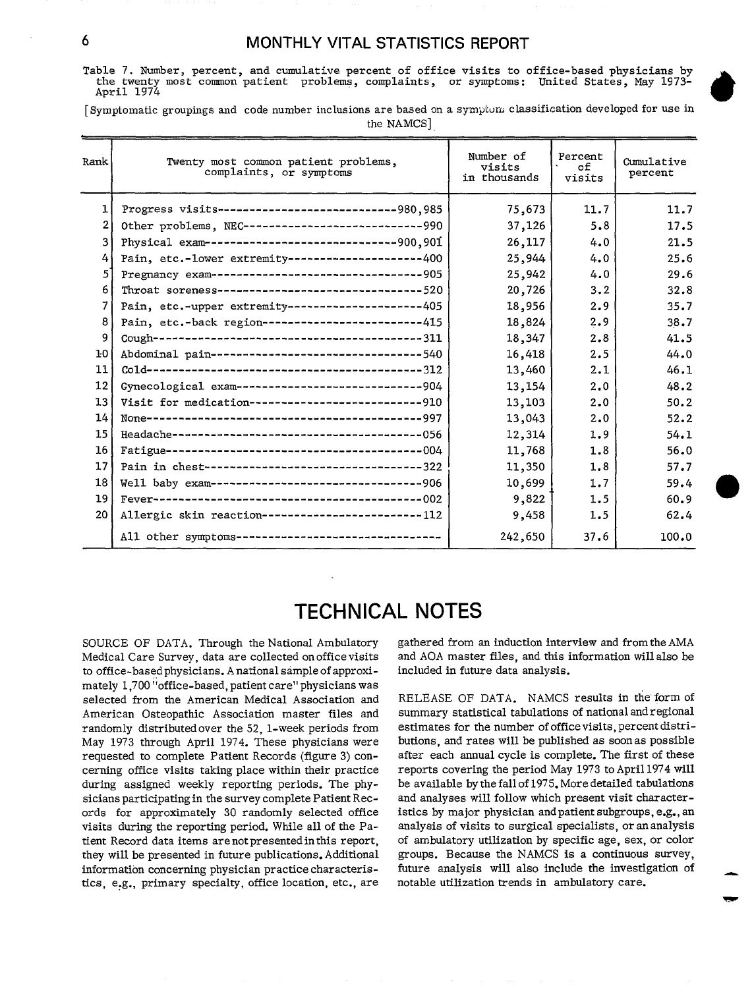Table 7. Number, percent, and cumulative percent of office visits **to** office-based physicians by the twenty most common patient problems, complaints, or symptoms: United States, May 1973-<br>April 1974 April 1974 **and 1974** and 1974 and 1988 and 1988 and 1988 and 1988 and 1988 and 1988 and 1988 and 1988 and 1988 and 1988 and 1988 and 1988 and 1988 and 1988 and 1988 and 1988 and 1988 and 1988 and 1988 and 1988 and 1988 an

[ ឆ  $\lceil$  Symptomatic groupings and code number inclusions are based on a symptom; classification developed for use in the NAMCS]

| Rank            | Twenty most common patient problems.<br>complaints, or symptoms | Number of<br>visits<br>in thousands | Percent<br>of<br>visits | Cumulative<br>percent |
|-----------------|-----------------------------------------------------------------|-------------------------------------|-------------------------|-----------------------|
| 1               | Progress visits----------------------------980,985              | 75,673                              | 11.7                    | 11.7                  |
| 2               | Other problems, NEC-----------------------------990             | 37,126                              | 5.8                     | 17.5                  |
| 3.              | Physical exam-------------------------------900,901             | 26,117                              | 4.0                     | 21.5                  |
| 4               | Pain, etc.-lower extremity----------------------400             | 25,944                              | 4.0                     | 25.6                  |
| 5.              | Pregnancy exam---------------------------------905              | 25,942                              | 4.0                     | 29.6                  |
| 6               | Throat soreness-------------------------------520               | 20,726                              | 3.2                     | 32.8                  |
| 7               | Pain, etc.-upper extremity----------------------405             | 18,956                              | 2.9                     | 35.7                  |
| 8               | Pain, etc.-back region-------------------------415              | 18,824                              | 2.9                     | 38.7                  |
| 9               |                                                                 | 18,347                              | 2.8                     | 41.5                  |
| 10              | Abdominal pain-------------------------------540                | 16,418                              | 2.5                     | 44.0                  |
| 11              |                                                                 | 13,460                              | 2.1                     | 46.1                  |
| 12              | Gynecological exam------------------------------904             | 13,154                              | 2.0                     | 48.2                  |
| 13 <sup>1</sup> | Visit for medication----------------------------910             | 13,103                              | 2.0                     | 50.2                  |
| 14              |                                                                 | 13,043                              | 2.0                     | 52.2                  |
| 15              |                                                                 | 12,314                              | 1.9                     | 54.1                  |
| 16              |                                                                 | 11,768                              | 1.8                     | 56.0                  |
| 17              | Pain in chest----------------------------------322              | 11,350                              | 1.8                     | 57.7                  |
| 18              | Well baby exam---------------------------------906              | 10,699                              | 1.7                     | 59.4                  |
| 19              |                                                                 | 9,822                               | 1.5                     | 60.9                  |
| 20              | Allergic skin reaction-------------------------112              | 9,458                               | 1.5                     | 62.4                  |
|                 | All other symptoms---------------------------------             | 242,650                             | 37.6                    | 100.0                 |

## TECHNICAL NOTES

SOURCE OF DATA. Through the National Ambulatory Medical Care Survey, data are collected on office visits to office-based physicians. Anational sampleofapproxi mately 1,700 "office-based, patient care" physicians was selected from the American Medical Association and American Osteopathic Association master files and randomly distributedover the 52, l-week periods from May 1973 through April 1974. These physicians were requested to complete Patient Records (figure3) concerning office visits taking place within their practice during assigned weekly reporting periods. The physicians participating in the survey complete Patient Records for approximately 30 randomly selected office visits during the reporting period. While all of the Patient Record data items are not presented in this report, they will be presented in future publications. Additional information concerning physician practice characteristics, e.g., primary specialty, office location, etc., are gathered from an induction interview and from the AMA and AOA master files, and this information will also be included in future data analysis.

RELEASE OF DATA. NAMCS results in the form summary statistical tabulations of national and regiona estimates for the number of office visits, percent distri butions, and rates will be published as soon as possible after each annual cycle is complete. The first of these reports covering the period May 1973 toApri11974 will be available by the fall of 1975. More detailed tabulation and analyses will follow which present visit character istics by major physician and patient subgroups, e.g., an analysis of visits to surgical specialists, or an analysis of ambulatory utilization by specific age, sex, or color groups. Because the NAMCS is a continuous survey, future analysis will also include the investigation of \_ notable utilization trends in ambulatory care.

w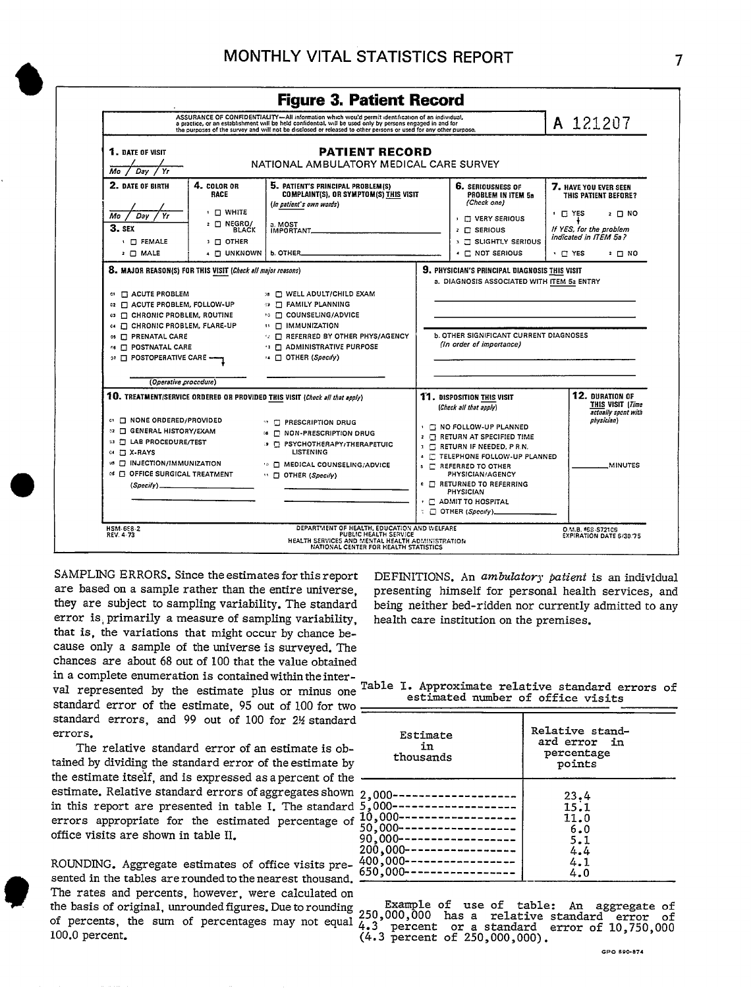

SAMPLING ERRORS. Since the estimates for this report are based on a sample rather than the entire universe. they are subject to sampling variability. The standard error is primarily a measure of sampling variability. that is, the variations that might occur by chance because only a sample of the universe is surveyed. The chances are about 68 out of 100 that the value obtained in a complete enumeration is contained within the interval represented by the estimate plus or minus one Table I. Approximate relative standard errors of standard error of the estimate, 95 out of 100 for two standard errors, and 99 out of 100 for 2½ standard errors.

The relative standard error of an estimate is obtained by dividing the standard error of the estimate by the estimate itself, and is expressed as a percent of the estimate. Relative standard errors of aggregates shown in this report are presented in table I. The standard errors appropriate for the estimated percentage of office visits are shown in table II.

ROUNDING. Aggregate estimates of office visits presented in the tables are rounded to the nearest thousand. The rates and percents, however, were calculated on the basis of original, unrounded figures. Due to rounding 100.0 percent.

DEFINITIONS. An ambulatory patient is an individual presenting himself for personal health services, and being neither bed-ridden nor currently admitted to any health care institution on the premises.

estimated number of office visits

| Estimate<br>in<br>thousands                                                                                                                                                                                   | Relative stand-<br>ard error in<br>percentage<br>points |
|---------------------------------------------------------------------------------------------------------------------------------------------------------------------------------------------------------------|---------------------------------------------------------|
| 2,000-------------------<br>5.000-------------------<br>$10,000$ -------------------<br>$50,000$ ------------------<br>$90,000$ ------------------<br>$200,000$ -----------------<br>400,000----------------- | 23.4<br>15.1<br>11.0<br>6.0<br>5.1<br>4.4<br>4.1        |
|                                                                                                                                                                                                               | 4.0                                                     |

Example of use of table: An aggregate of 250,000,000 has a relative standard of percents, the sum of percentages may not equal  $\frac{250,000,000}{4,3}$  percent or a standard error of 10,750,000  $(4.3 \text{ percent of } 250,000,000).$